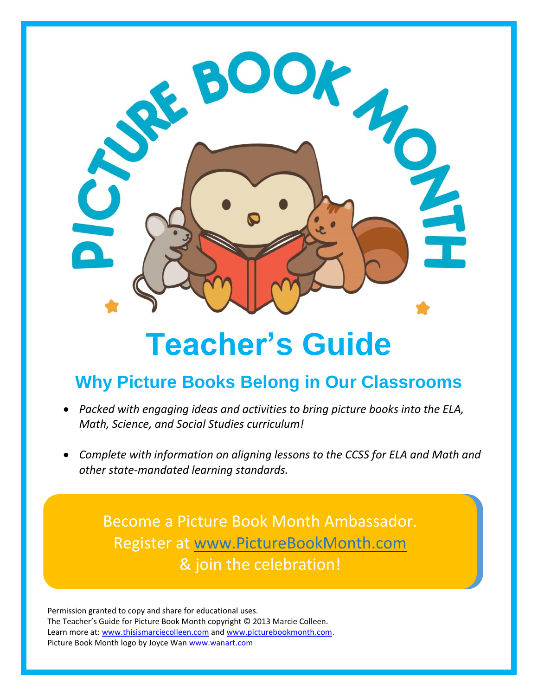

# **Teacher's Guide**

# **Why Picture Books Belong in Our Classrooms**

- *Packed with engaging ideas and activities to bring picture books into the ELA, Math, Science, and Social Studies curriculum!*
- *Complete with information on aligning lessons to the CCSS for ELA and Math and other state-mandated learning standards.*

Become a Picture Book Month Ambassador. Register at [www.PictureBookMonth.com](http://www.picturebookmonth.com/) & join the celebration!

Permission granted to copy and share for educational uses. The Teacher's Guide for Picture Book Month copyright © 2013 Marcie Colleen. Learn more at: [www.thisismarciecolleen.com](http://www.thisismarciecolleen.com/) and [www.picturebookmonth.com.](http://www.picturebookmonth.com/) Picture Book Month logo by Joyce Wan [www.wanart.com](http://www.wanart.com/)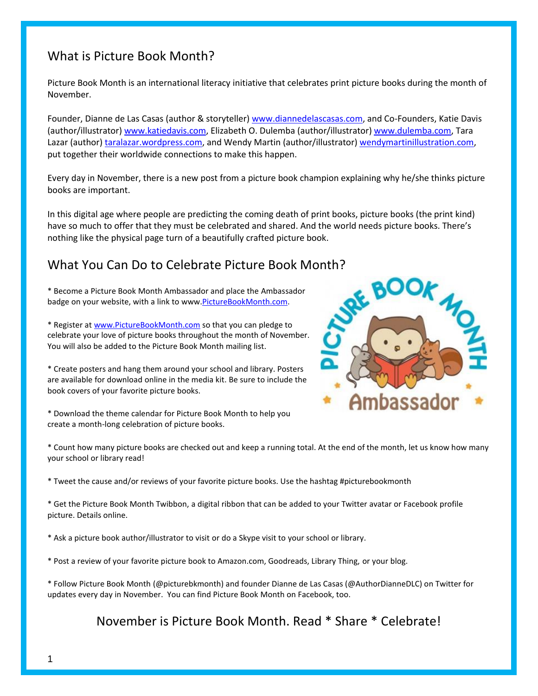## What is Picture Book Month?

Picture Book Month is an international literacy initiative that celebrates print picture books during the month of November.

Founder, Dianne de Las Casas (author & storyteller[\) www.diannedelascasas.com,](http://www.diannedelascasas.com/) and Co-Founders, Katie Davis (author/illustrator) [www.katiedavis.com,](http://www.katiedavis.com/) Elizabeth O. Dulemba (author/illustrator) [www.dulemba.com,](http://www.dulemba.com/) Tara Lazar (author) [taralazar.wordpress.com,](http://www.taralazar.wordpress.com/) and Wendy Martin (author/illustrator) [wendymartinillustration.com,](http://www.wendymartinillustration.com/) put together their worldwide connections to make this happen.

Every day in November, there is a new post from a picture book champion explaining why he/she thinks picture books are important.

In this digital age where people are predicting the coming death of print books, picture books (the print kind) have so much to offer that they must be celebrated and shared. And the world needs picture books. There's nothing like the physical page turn of a beautifully crafted picture book.

## What You Can Do to Celebrate Picture Book Month?

\* Become a Picture Book Month Ambassador and place the Ambassador badge on your website, with a link to www[.PictureBookMonth.com.](http://www.picturebookmonth.com/)

\* Register at [www.PictureBookMonth.com](http://www.picturebookmonth.com/) so that you can pledge to celebrate your love of picture books throughout the month of November. You will also be added to the Picture Book Month mailing list.



\* Create posters and hang them around your school and library. Posters are available for download online in the media kit. Be sure to include the book covers of your favorite picture books.

\* Download the theme calendar for Picture Book Month to help you create a month-long celebration of picture books.

\* Count how many picture books are checked out and keep a running total. At the end of the month, let us know how many your school or library read!

\* Tweet the cause and/or reviews of your favorite picture books. Use the hashtag #picturebookmonth

\* Get the Picture Book Month Twibbon, a digital ribbon that can be added to your Twitter avatar or Facebook profile picture. Details online.

\* Ask a picture book author/illustrator to visit or do a Skype visit to your school or library.

\* Post a review of your favorite picture book to Amazon.com, Goodreads, Library Thing, or your blog.

\* Follow Picture Book Month (@picturebkmonth) and founder Dianne de Las Casas (@AuthorDianneDLC) on Twitter for updates every day in November. You can find Picture Book Month on Facebook, too.

November is Picture Book Month. Read \* Share \* Celebrate!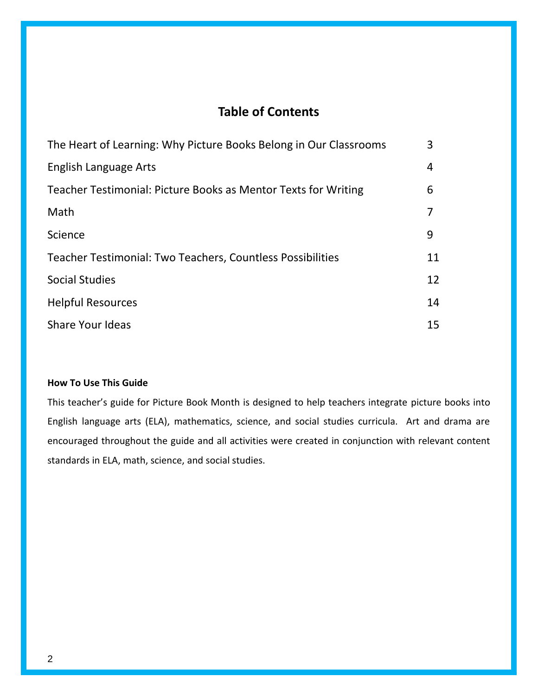## **Table of Contents**

| The Heart of Learning: Why Picture Books Belong in Our Classrooms | 3  |
|-------------------------------------------------------------------|----|
| English Language Arts                                             | 4  |
| Teacher Testimonial: Picture Books as Mentor Texts for Writing    | 6  |
| Math                                                              |    |
| Science                                                           | 9  |
| Teacher Testimonial: Two Teachers, Countless Possibilities        | 11 |
| <b>Social Studies</b>                                             | 12 |
| <b>Helpful Resources</b>                                          | 14 |
| <b>Share Your Ideas</b>                                           | 15 |

#### **How To Use This Guide**

This teacher's guide for Picture Book Month is designed to help teachers integrate picture books into English language arts (ELA), mathematics, science, and social studies curricula. Art and drama are encouraged throughout the guide and all activities were created in conjunction with relevant content standards in ELA, math, science, and social studies.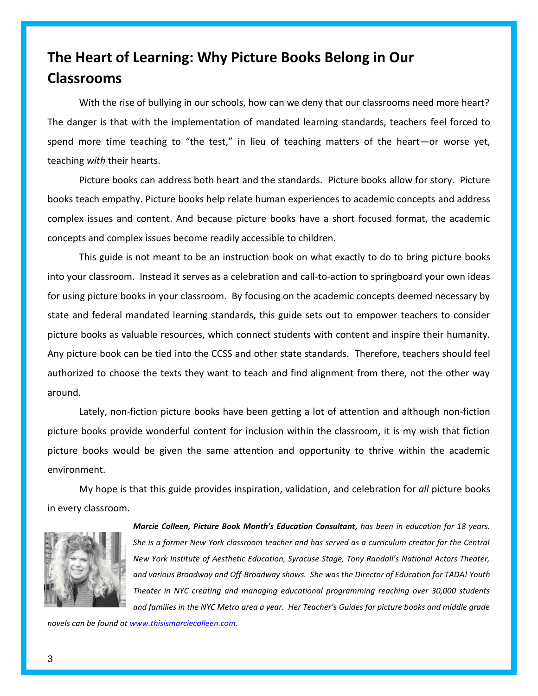# **The Heart of Learning: Why Picture Books Belong in Our Classrooms**

With the rise of bullying in our schools, how can we deny that our classrooms need more heart? The danger is that with the implementation of mandated learning standards, teachers feel forced to spend more time teaching to "the test," in lieu of teaching matters of the heart—or worse yet, teaching *with* their hearts.

Picture books can address both heart and the standards. Picture books allow for story. Picture books teach empathy. Picture books help relate human experiences to academic concepts and address complex issues and content. And because picture books have a short focused format, the academic concepts and complex issues become readily accessible to children.

This guide is not meant to be an instruction book on what exactly to do to bring picture books into your classroom. Instead it serves as a celebration and call-to-action to springboard your own ideas for using picture books in your classroom. By focusing on the academic concepts deemed necessary by state and federal mandated learning standards, this guide sets out to empower teachers to consider picture books as valuable resources, which connect students with content and inspire their humanity. Any picture book can be tied into the CCSS and other state standards. Therefore, teachers should feel authorized to choose the texts they want to teach and find alignment from there, not the other way around.

Lately, non-fiction picture books have been getting a lot of attention and although non-fiction picture books provide wonderful content for inclusion within the classroom, it is my wish that fiction picture books would be given the same attention and opportunity to thrive within the academic environment.

My hope is that this guide provides inspiration, validation, and celebration for *all* picture books in every classroom.



*Marcie Colleen, Picture Book Month's Education Consultant, has been in education for 18 years. She is a former New York classroom teacher and has served as a curriculum creator for the Central New York Institute of Aesthetic Education, Syracuse Stage, Tony Randall's National Actors Theater, and various Broadway and Off-Broadway shows. She was the Director of Education for TADA! Youth Theater in NYC creating and managing educational programming reaching over 30,000 students and families in the NYC Metro area a year. Her Teacher's Guides for picture books and middle grade* 

*novels can be found a[t www.thisismarciecolleen.com.](http://www.thisismarciecolleen.com/)*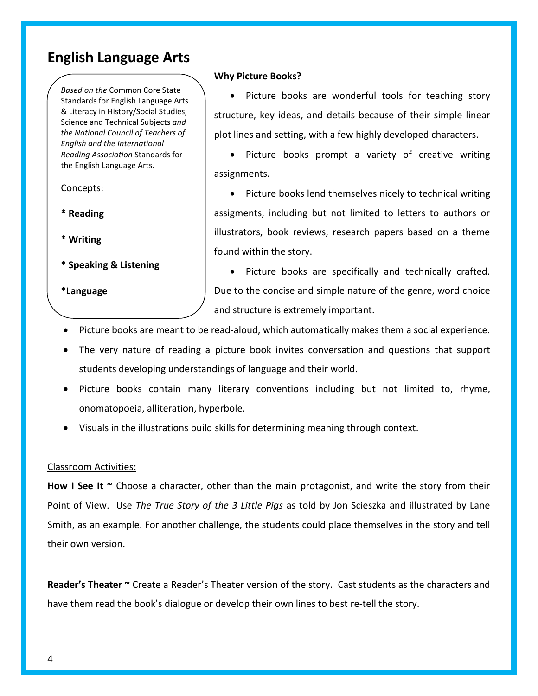## **English Language Arts**

*Based on the* Common Core State Standards for English Language Arts & Literacy in History/Social Studies, Science and Technical Subjects *and the National Council of Teachers of English and the International Reading Association* Standards for the English Language Arts*.*

Concepts:

- **\* Reading**
- **\* Writing**
- **\* Speaking & Listening**

**\*Language**

#### **Why Picture Books?**

• Picture books are wonderful tools for teaching story structure, key ideas, and details because of their simple linear plot lines and setting, with a few highly developed characters.

• Picture books prompt a variety of creative writing assignments.

• Picture books lend themselves nicely to technical writing assigments, including but not limited to letters to authors or illustrators, book reviews, research papers based on a theme found within the story.

• Picture books are specifically and technically crafted. Due to the concise and simple nature of the genre, word choice and structure is extremely important.

- Picture books are meant to be read-aloud, which automatically makes them a social experience.
- The very nature of reading a picture book invites conversation and questions that support students developing understandings of language and their world.
- Picture books contain many literary conventions including but not limited to, rhyme, onomatopoeia, alliteration, hyperbole.
- Visuals in the illustrations build skills for determining meaning through context.

#### Classroom Activities:

**How I See It ~** Choose a character, other than the main protagonist, and write the story from their Point of View. Use *The True Story of the 3 Little Pigs* as told by Jon Scieszka and illustrated by Lane Smith, as an example. For another challenge, the students could place themselves in the story and tell their own version.

**Reader's Theater ~** Create a Reader's Theater version of the story. Cast students as the characters and have them read the book's dialogue or develop their own lines to best re-tell the story.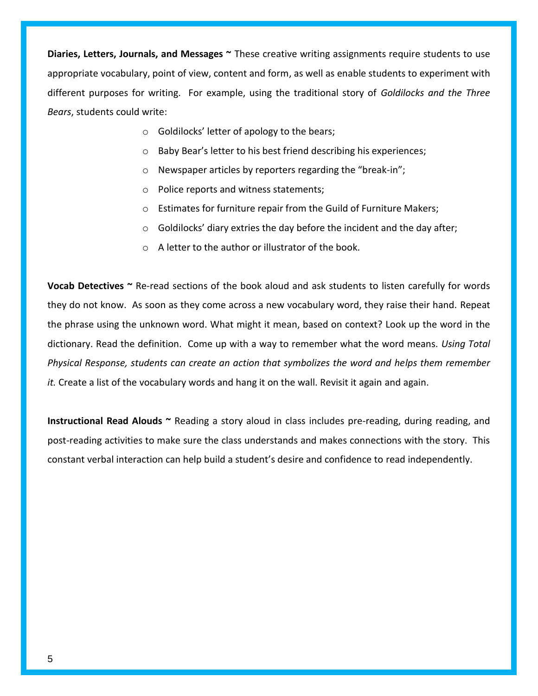**Diaries, Letters, Journals, and Messages ~** These creative writing assignments require students to use appropriate vocabulary, point of view, content and form, as well as enable students to experiment with different purposes for writing. For example, using the traditional story of *Goldilocks and the Three Bears*, students could write:

- o Goldilocks' letter of apology to the bears;
- o Baby Bear's letter to his best friend describing his experiences;
- o Newspaper articles by reporters regarding the "break-in";
- o Police reports and witness statements;
- o Estimates for furniture repair from the Guild of Furniture Makers;
- o Goldilocks' diary extries the day before the incident and the day after;
- o A letter to the author or illustrator of the book.

**Vocab Detectives ~** Re-read sections of the book aloud and ask students to listen carefully for words they do not know. As soon as they come across a new vocabulary word, they raise their hand. Repeat the phrase using the unknown word. What might it mean, based on context? Look up the word in the dictionary. Read the definition. Come up with a way to remember what the word means*. Using Total Physical Response, students can create an action that symbolizes the word and helps them remember it.* Create a list of the vocabulary words and hang it on the wall. Revisit it again and again.

**Instructional Read Alouds ~** Reading a story aloud in class includes pre-reading, during reading, and post-reading activities to make sure the class understands and makes connections with the story. This constant verbal interaction can help build a student's desire and confidence to read independently.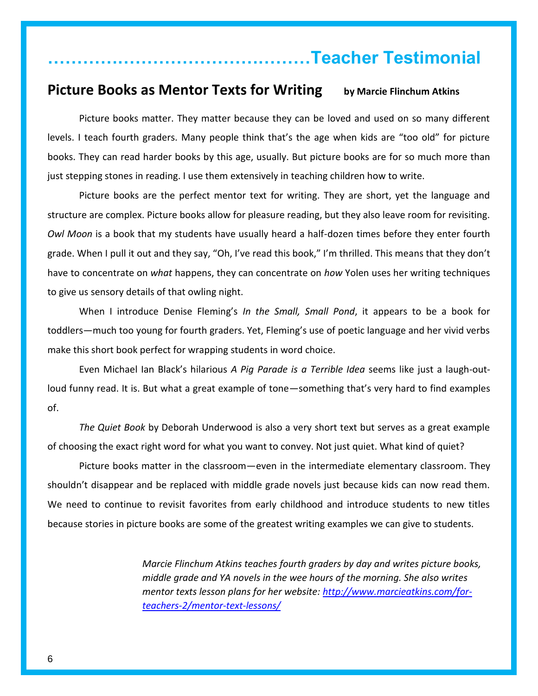## **………………………………………Teacher Testimonial**

## **Picture Books as Mentor Texts for Writing by Marcie Flinchum Atkins**

Picture books matter. They matter because they can be loved and used on so many different levels. I teach fourth graders. Many people think that's the age when kids are "too old" for picture books. They can read harder books by this age, usually. But picture books are for so much more than just stepping stones in reading. I use them extensively in teaching children how to write.

Picture books are the perfect mentor text for writing. They are short, yet the language and structure are complex. Picture books allow for pleasure reading, but they also leave room for revisiting. *Owl Moon* is a book that my students have usually heard a half-dozen times before they enter fourth grade. When I pull it out and they say, "Oh, I've read this book," I'm thrilled. This means that they don't have to concentrate on *what* happens, they can concentrate on *how* Yolen uses her writing techniques to give us sensory details of that owling night.

When I introduce Denise Fleming's *In the Small, Small Pond*, it appears to be a book for toddlers—much too young for fourth graders. Yet, Fleming's use of poetic language and her vivid verbs make this short book perfect for wrapping students in word choice.

Even Michael Ian Black's hilarious *A Pig Parade is a Terrible Idea* seems like just a laugh-outloud funny read. It is. But what a great example of tone—something that's very hard to find examples of.

*The Quiet Book* by Deborah Underwood is also a very short text but serves as a great example of choosing the exact right word for what you want to convey. Not just quiet. What kind of quiet?

Picture books matter in the classroom—even in the intermediate elementary classroom. They shouldn't disappear and be replaced with middle grade novels just because kids can now read them. We need to continue to revisit favorites from early childhood and introduce students to new titles because stories in picture books are some of the greatest writing examples we can give to students.

> *Marcie Flinchum Atkins teaches fourth graders by day and writes picture books, middle grade and YA novels in the wee hours of the morning. She also writes mentor texts lesson plans for her website: [http://www.marcieatkins.com/for](http://www.marcieatkins.com/for-teachers-2/mentor-text-lessons/)[teachers-2/mentor-text-lessons/](http://www.marcieatkins.com/for-teachers-2/mentor-text-lessons/)*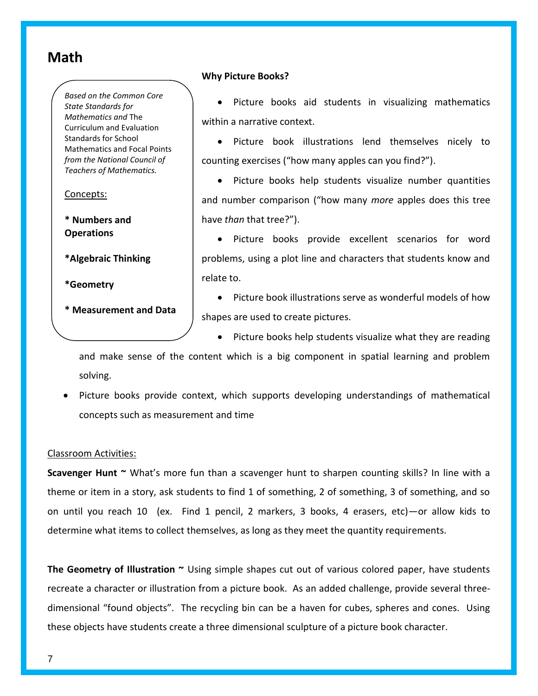## **Math**

*Based on the Common Core State Standards for Mathematics and* The Curriculum and Evaluation Standards for School Mathematics and Focal Points *from the National Council of Teachers of Mathematics.*

Concepts:

**\* Numbers and Operations**

**\*Algebraic Thinking**

**\*Geometry**

**\* Measurement and Data**

#### **Why Picture Books?**

• Picture books aid students in visualizing mathematics within a narrative context.

 Picture book illustrations lend themselves nicely to counting exercises ("how many apples can you find?").

• Picture books help students visualize number quantities and number comparison ("how many *more* apples does this tree have *than* that tree?").

• Picture books provide excellent scenarios for word problems, using a plot line and characters that students know and relate to.

 Picture book illustrations serve as wonderful models of how shapes are used to create pictures.

• Picture books help students visualize what they are reading

and make sense of the content which is a big component in spatial learning and problem solving.

• Picture books provide context, which supports developing understandings of mathematical concepts such as measurement and time

#### Classroom Activities:

**Scavenger Hunt ~** What's more fun than a scavenger hunt to sharpen counting skills? In line with a theme or item in a story, ask students to find 1 of something, 2 of something, 3 of something, and so on until you reach 10 (ex. Find 1 pencil, 2 markers, 3 books, 4 erasers, etc)—or allow kids to determine what items to collect themselves, as long as they meet the quantity requirements.

**The Geometry of Illustration ~** Using simple shapes cut out of various colored paper, have students recreate a character or illustration from a picture book. As an added challenge, provide several threedimensional "found objects". The recycling bin can be a haven for cubes, spheres and cones. Using these objects have students create a three dimensional sculpture of a picture book character.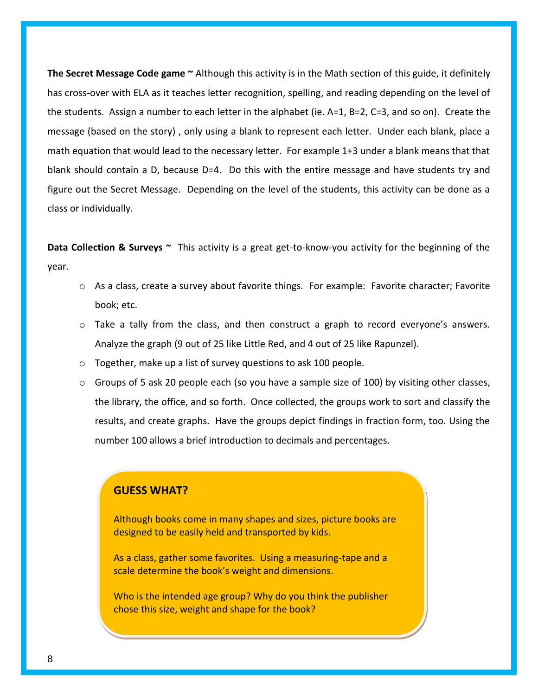**The Secret Message Code game ~** Although this activity is in the Math section of this guide, it definitely has cross-over with ELA as it teaches letter recognition, spelling, and reading depending on the level of the students.Assign a number to each letter in the alphabet (ie. A=1, B=2, C=3, and so on).Create the message (based on the story) , only using a blank to represent each letter. Under each blank, place a math equation that would lead to the necessary letter. For example 1+3 under a blank means that that blank should contain a D, because D=4. Do this with the entire message and have students try and figure out the Secret Message. Depending on the level of the students, this activity can be done as a class or individually.

**Data Collection & Surveys ~** This activity is a great get-to-know-you activity for the beginning of the year.

- $\circ$  As a class, create a survey about favorite things. For example: Favorite character; Favorite book; etc.
- $\circ$  Take a tally from the class, and then construct a graph to record everyone's answers. Analyze the graph (9 out of 25 like Little Red, and 4 out of 25 like Rapunzel).
- o Together, make up a list of survey questions to ask 100 people.
- $\circ$  Groups of 5 ask 20 people each (so you have a sample size of 100) by visiting other classes, the library, the office, and so forth. Once collected, the groups work to sort and classify the results, and create graphs. Have the groups depict findings in fraction form, too. Using the number 100 allows a brief introduction to decimals and percentages.

#### **GUESS WHAT?**

Although books come in many shapes and sizes, picture books are designed to be easily held and transported by kids.

As a class, gather some favorites. Using a measuring-tape and a scale determine the book's weight and dimensions.

Who is the intended age group? Why do you think the publisher chose this size, weight and shape for the book?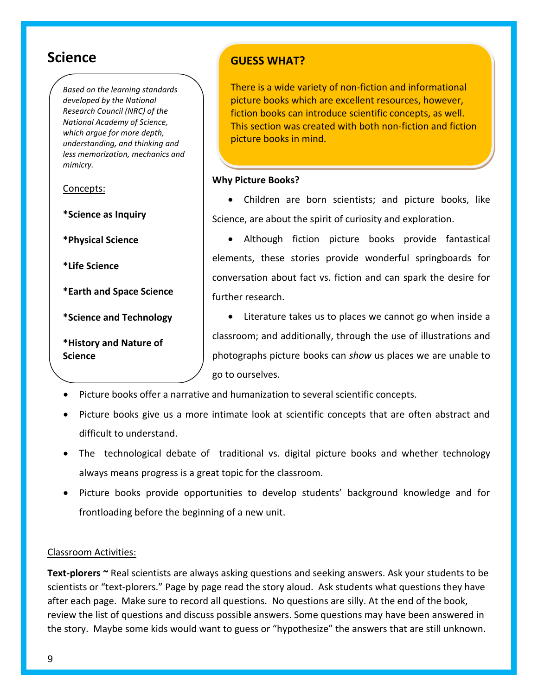## **Science**

*Based on the learning standards developed by the National Research Council (NRC) of the National Academy of Science, which argue for more depth, understanding, and thinking and less memorization, mechanics and mimicry.*

Concepts:

**\*Science as Inquiry**

**\*Physical Science**

**\*Life Science**

**\*Earth and Space Science** 

**\*Science and Technology** 

**\*History and Nature of Science**

## **GUESS WHAT?**

There is a wide variety of non-fiction and informational picture books which are excellent resources, however, fiction books can introduce scientific concepts, as well. This section was created with both non-fiction and fiction picture books in mind.

#### **Why Picture Books?**

 Children are born scientists; and picture books, like Science, are about the spirit of curiosity and exploration.

 Although fiction picture books provide fantastical elements, these stories provide wonderful springboards for conversation about fact vs. fiction and can spark the desire for further research.

• Literature takes us to places we cannot go when inside a classroom; and additionally, through the use of illustrations and photographs picture books can *show* us places we are unable to go to ourselves.

- Picture books offer a narrative and humanization to several scientific concepts.
- Picture books give us a more intimate look at scientific concepts that are often abstract and difficult to understand.
- The technological debate of traditional vs. digital picture books and whether technology always means progress is a great topic for the classroom.
- Picture books provide opportunities to develop students' background knowledge and for frontloading before the beginning of a new unit.

#### Classroom Activities:

**Text-plorers ~** Real scientists are always asking questions and seeking answers. Ask your students to be scientists or "text-plorers." Page by page read the story aloud. Ask students what questions they have after each page. Make sure to record all questions. No questions are silly. At the end of the book, review the list of questions and discuss possible answers. Some questions may have been answered in the story. Maybe some kids would want to guess or "hypothesize" the answers that are still unknown.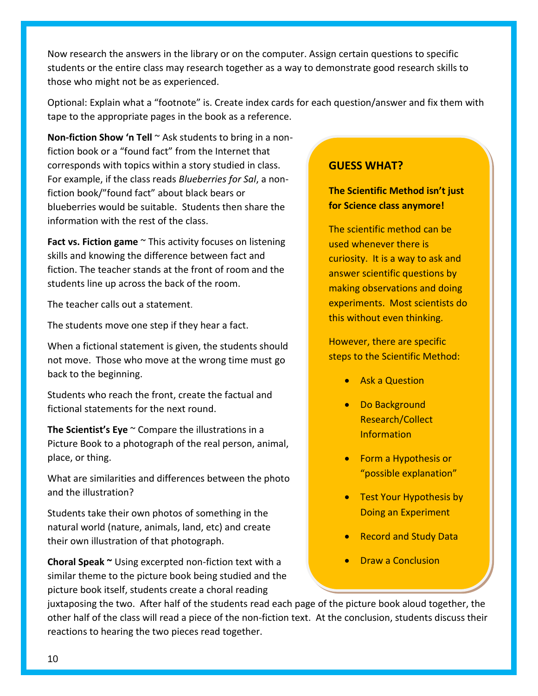Now research the answers in the library or on the computer. Assign certain questions to specific students or the entire class may research together as a way to demonstrate good research skills to those who might not be as experienced.

Optional: Explain what a "footnote" is. Create index cards for each question/answer and fix them with tape to the appropriate pages in the book as a reference.

**Non-fiction Show 'n Tell** ~ Ask students to bring in a nonfiction book or a "found fact" from the Internet that corresponds with topics within a story studied in class. For example, if the class reads *Blueberries for Sal*, a nonfiction book/"found fact" about black bears or blueberries would be suitable. Students then share the information with the rest of the class.

**Fact vs. Fiction game**  $\sim$  This activity focuses on listening skills and knowing the difference between fact and fiction. The teacher stands at the front of room and the students line up across the back of the room.

The teacher calls out a statement.

The students move one step if they hear a fact.

When a fictional statement is given, the students should not move. Those who move at the wrong time must go back to the beginning.

Students who reach the front, create the factual and fictional statements for the next round.

**The Scientist's Eye** ~ Compare the illustrations in a Picture Book to a photograph of the real person, animal, place, or thing.

What are similarities and differences between the photo and the illustration?

Students take their own photos of something in the natural world (nature, animals, land, etc) and create their own illustration of that photograph.

**Choral Speak ~** Using excerpted non-fiction text with a similar theme to the picture book being studied and the picture book itself, students create a choral reading

### **GUESS WHAT?**

**The Scientific Method isn't just for Science class anymore!**

The scientific method can be used whenever there is curiosity. It is a way to ask and answer scientific questions by making observations and doing experiments. Most scientists do this without even thinking.

However, there are specific steps to the Scientific Method:

- Ask a Question
- Do Background Research/Collect Information
- Form a Hypothesis or "possible explanation"
- Test Your Hypothesis by Doing an Experiment
- Record and Study Data
- Draw a Conclusion

juxtaposing the two. After half of the students read each page of the picture book aloud together, the other half of the class will read a piece of the non-fiction text. At the conclusion, students discuss their reactions to hearing the two pieces read together.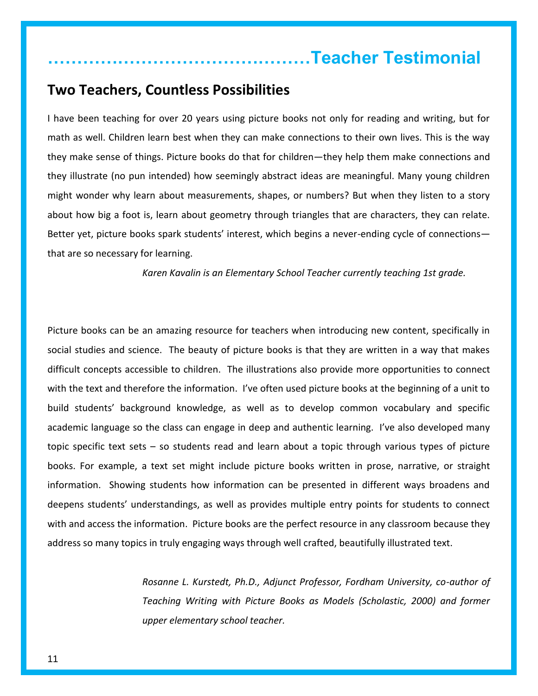## **………………………………………Teacher Testimonial**

## **Two Teachers, Countless Possibilities**

I have been teaching for over 20 years using picture books not only for reading and writing, but for math as well. Children learn best when they can make connections to their own lives. This is the way they make sense of things. Picture books do that for children—they help them make connections and they illustrate (no pun intended) how seemingly abstract ideas are meaningful. Many young children might wonder why learn about measurements, shapes, or numbers? But when they listen to a story about how big a foot is, learn about geometry through triangles that are characters, they can relate. Better yet, picture books spark students' interest, which begins a never-ending cycle of connections that are so necessary for learning.

*Karen Kavalin is an Elementary School Teacher currently teaching 1st grade.* 

Picture books can be an amazing resource for teachers when introducing new content, specifically in social studies and science. The beauty of picture books is that they are written in a way that makes difficult concepts accessible to children. The illustrations also provide more opportunities to connect with the text and therefore the information. I've often used picture books at the beginning of a unit to build students' background knowledge, as well as to develop common vocabulary and specific academic language so the class can engage in deep and authentic learning. I've also developed many topic specific text sets – so students read and learn about a topic through various types of picture books. For example, a text set might include picture books written in prose, narrative, or straight information. Showing students how information can be presented in different ways broadens and deepens students' understandings, as well as provides multiple entry points for students to connect with and access the information. Picture books are the perfect resource in any classroom because they address so many topics in truly engaging ways through well crafted, beautifully illustrated text.

> *Rosanne L. Kurstedt, Ph.D., Adjunct Professor, Fordham University, co-author of Teaching Writing with Picture Books as Models (Scholastic, 2000) and former upper elementary school teacher.*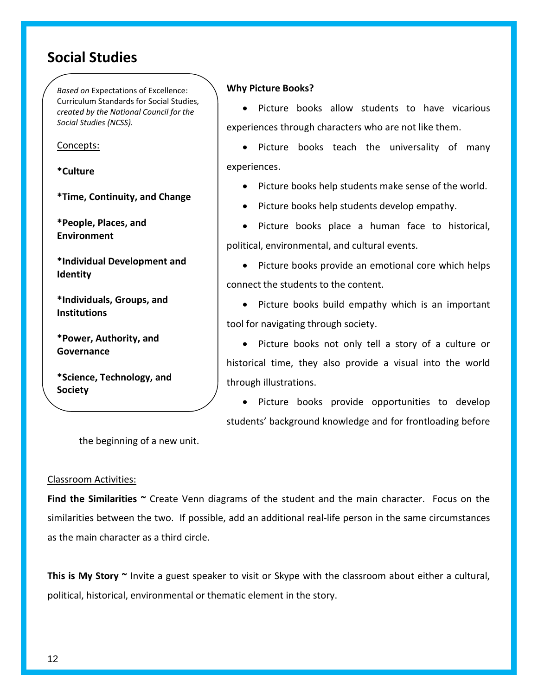## **Social Studies**

*Based on* Expectations of Excellence: Curriculum Standards for Social Studies*, created by the National Council for the Social Studies (NCSS).*

Concepts:

**\*Culture**

**\*Time, Continuity, and Change**

**\*People, Places, and Environment**

**\*Individual Development and Identity**

**\*Individuals, Groups, and Institutions**

**\*Power, Authority, and Governance**

**\*Science, Technology, and Society**

**\*Global Connections**

**Why Picture Books?**

• Picture books allow students to have vicarious experiences through characters who are not like them.

• Picture books teach the universality of many experiences.

• Picture books help students make sense of the world.

• Picture books help students develop empathy.

• Picture books place a human face to historical, political, environmental, and cultural events.

• Picture books provide an emotional core which helps connect the students to the content.

• Picture books build empathy which is an important tool for navigating through society.

• Picture books not only tell a story of a culture or historical time, they also provide a visual into the world through illustrations.

 Picture books provide opportunities to develop students' background knowledge and for frontloading before

the beginning of a new unit.

#### Classroom Activities:

**Find the Similarities ~** Create Venn diagrams of the student and the main character. Focus on the similarities between the two. If possible, add an additional real-life person in the same circumstances as the main character as a third circle.

**This is My Story ~** Invite a guest speaker to visit or Skype with the classroom about either a cultural, political, historical, environmental or thematic element in the story.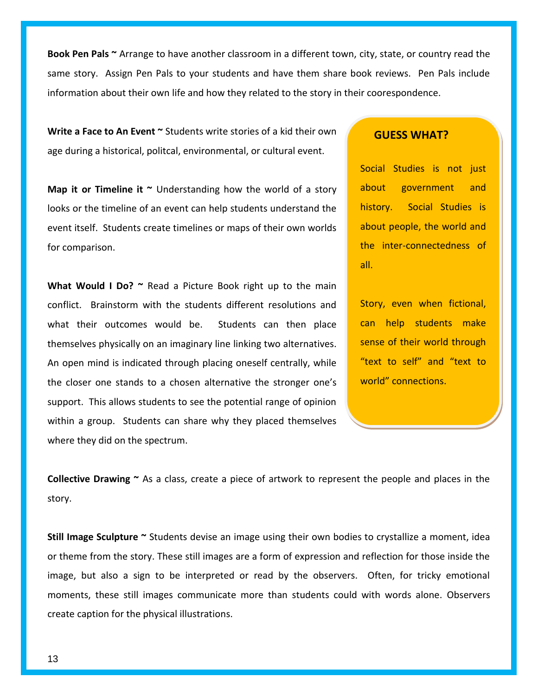**Book Pen Pals ~** Arrange to have another classroom in a different town, city, state, or country read the same story. Assign Pen Pals to your students and have them share book reviews. Pen Pals include information about their own life and how they related to the story in their coorespondence.

**Write a Face to An Event ~** Students write stories of a kid their own age during a historical, politcal, environmental, or cultural event.

**Map it or Timeline it ~** Understanding how the world of a story looks or the timeline of an event can help students understand the event itself. Students create timelines or maps of their own worlds for comparison.

What Would I Do? ~ Read a Picture Book right up to the main conflict. Brainstorm with the students different resolutions and what their outcomes would be. Students can then place themselves physically on an imaginary line linking two alternatives. An open mind is indicated through placing oneself centrally, while the closer one stands to a chosen alternative the stronger one's support. This allows students to see the potential range of opinion within a group. Students can share why they placed themselves where they did on the spectrum.

#### **GUESS WHAT?**

Social Studies is not just about government and history. Social Studies is about people, the world and the inter-connectedness of all.

Story, even when fictional, can help students make sense of their world through "text to self" and "text to world" connections.

**Collective Drawing ~** As a class, create a piece of artwork to represent the people and places in the story.

**Still Image Sculpture ~** Students devise an image using their own bodies to crystallize a moment, idea or theme from the story. These still images are a form of expression and reflection for those inside the image, but also a sign to be interpreted or read by the observers. Often, for tricky emotional moments, these still images communicate more than students could with words alone. Observers create caption for the physical illustrations.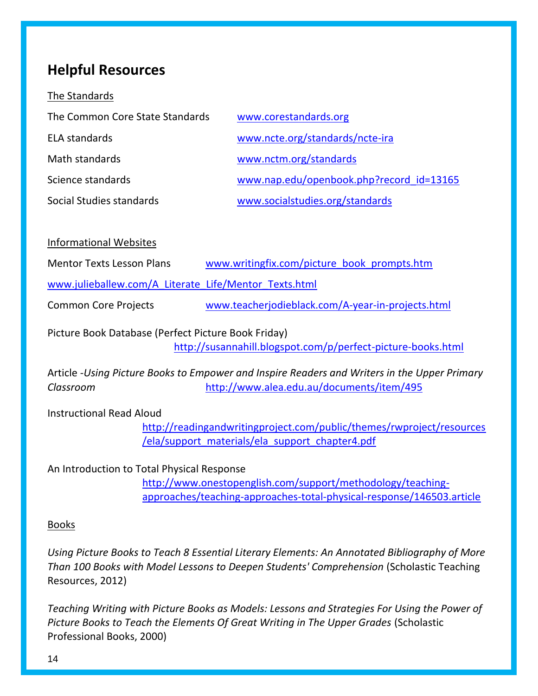## **Helpful Resources**

The Standards

| The Common Core State Standards | www.corestandards.org                    |
|---------------------------------|------------------------------------------|
| <b>ELA standards</b>            | www.ncte.org/standards/ncte-ira          |
| Math standards                  | www.nctm.org/standards                   |
| Science standards               | www.nap.edu/openbook.php?record id=13165 |
| Social Studies standards        | www.socialstudies.org/standards          |

Informational Websites

| www.writingfix.com/picture_book_prompts.htm |
|---------------------------------------------|
|---------------------------------------------|

[www.julieballew.com/A\\_Literate\\_Life/Mentor\\_Texts.html](www.julieballew.com/A_Literate_Life/Mentor_Texts.html)

Common Core Projects [www.teacherjodieblack.com/A-year-in-projects.html](http://www.teacherjodieblack.com/A-year-in-projects.html)

Picture Book Database (Perfect Picture Book Friday) <http://susannahill.blogspot.com/p/perfect-picture-books.html>

Article -*Using Picture Books to Empower and Inspire Readers and Writers in the Upper Primary Classroom* <http://www.alea.edu.au/documents/item/495>

Instructional Read Aloud

[http://readingandwritingproject.com/public/themes/rwproject/resources](http://readingandwritingproject.com/public/themes/rwproject/resources/ela/support_materials/ela_support_chapter4.pdf) [/ela/support\\_materials/ela\\_support\\_chapter4.pdf](http://readingandwritingproject.com/public/themes/rwproject/resources/ela/support_materials/ela_support_chapter4.pdf)

An Introduction to Total Physical Response

[http://www.onestopenglish.com/support/methodology/teaching](http://www.onestopenglish.com/support/methodology/teaching-approaches/teaching-approaches-total-physical-response/146503.article)[approaches/teaching-approaches-total-physical-response/146503.article](http://www.onestopenglish.com/support/methodology/teaching-approaches/teaching-approaches-total-physical-response/146503.article)

#### **Books**

*Using Picture Books to Teach 8 Essential Literary Elements: An Annotated Bibliography of More Than 100 Books with Model Lessons to Deepen Students' Comprehension* (Scholastic Teaching Resources, 2012)

*Teaching Writing with Picture Books as Models: Lessons and Strategies For Using the Power of Picture Books to Teach the Elements Of Great Writing in The Upper Grades* (Scholastic Professional Books, 2000)